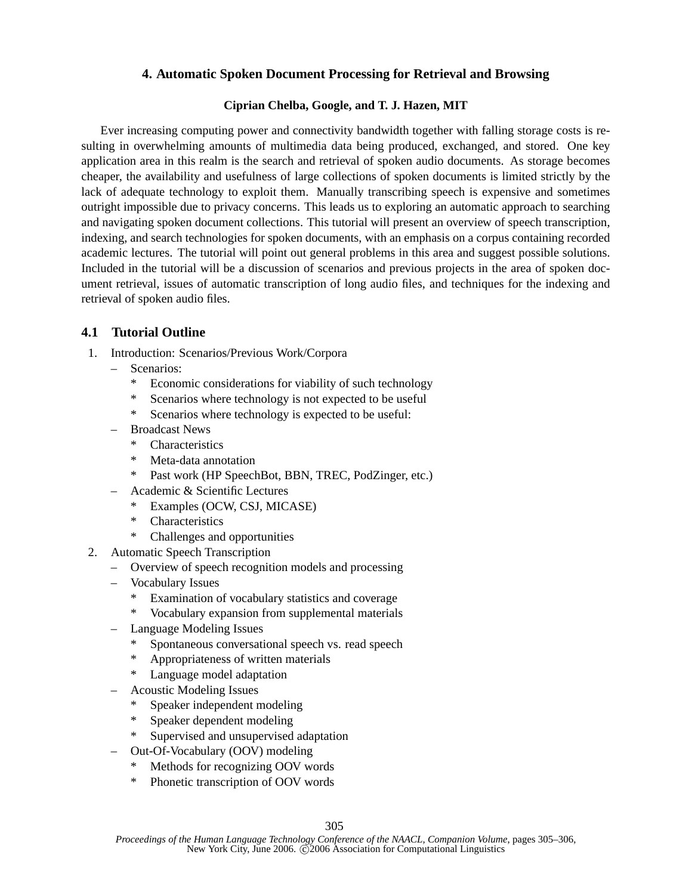## **4. Automatic Spoken Document Processing for Retrieval and Browsing**

## **Ciprian Chelba, Google, and T. J. Hazen, MIT**

Ever increasing computing power and connectivity bandwidth together with falling storage costs is resulting in overwhelming amounts of multimedia data being produced, exchanged, and stored. One key application area in this realm is the search and retrieval of spoken audio documents. As storage becomes cheaper, the availability and usefulness of large collections of spoken documents is limited strictly by the lack of adequate technology to exploit them. Manually transcribing speech is expensive and sometimes outright impossible due to privacy concerns. This leads us to exploring an automatic approach to searching and navigating spoken document collections. This tutorial will present an overview of speech transcription, indexing, and search technologies for spoken documents, with an emphasis on a corpus containing recorded academic lectures. The tutorial will point out general problems in this area and suggest possible solutions. Included in the tutorial will be a discussion of scenarios and previous projects in the area of spoken document retrieval, issues of automatic transcription of long audio files, and techniques for the indexing and retrieval of spoken audio files.

## **4.1 Tutorial Outline**

- 1. Introduction: Scenarios/Previous Work/Corpora
	- Scenarios:
		- Economic considerations for viability of such technology
		- \* Scenarios where technology is not expected to be useful
		- \* Scenarios where technology is expected to be useful:
	- Broadcast News
		- \* Characteristics
		- \* Meta-data annotation
		- Past work (HP SpeechBot, BBN, TREC, PodZinger, etc.)
	- Academic & Scientific Lectures
		- Examples (OCW, CSJ, MICASE)
		- \* Characteristics
		- \* Challenges and opportunities
- 2. Automatic Speech Transcription
	- Overview of speech recognition models and processing
	- Vocabulary Issues
		- Examination of vocabulary statistics and coverage
		- \* Vocabulary expansion from supplemental materials
	- Language Modeling Issues
		- Spontaneous conversational speech vs. read speech
		- \* Appropriateness of written materials
		- \* Language model adaptation
	- Acoustic Modeling Issues
		- Speaker independent modeling
		- Speaker dependent modeling
		- \* Supervised and unsupervised adaptation
	- Out-Of-Vocabulary (OOV) modeling
		- \* Methods for recognizing OOV words
		- \* Phonetic transcription of OOV words